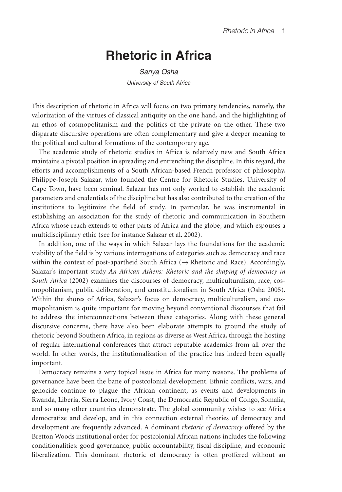## **Rhetoric in Africa**

*Sanya Osha University of South Africa*

This description of rhetoric in Africa will focus on two primary tendencies, namely, the valorization of the virtues of classical antiquity on the one hand, and the highlighting of an ethos of cosmopolitanism and the politics of the private on the other. These two disparate discursive operations are often complementary and give a deeper meaning to the political and cultural formations of the contemporary age.

The academic study of rhetoric studies in Africa is relatively new and South Africa maintains a pivotal position in spreading and entrenching the discipline. In this regard, the efforts and accomplishments of a South African-based French professor of philosophy, Philippe-Joseph Salazar, who founded the Centre for Rhetoric Studies, University of Cape Town, have been seminal. Salazar has not only worked to establish the academic parameters and credentials of the discipline but has also contributed to the creation of the institutions to legitimize the field of study. In particular, he was instrumental in establishing an association for the study of rhetoric and communication in Southern Africa whose reach extends to other parts of Africa and the globe, and which espouses a multidisciplinary ethic (see for instance Salazar et al. 2002).

In addition, one of the ways in which Salazar lays the foundations for the academic viability of the field is by various interrogations of categories such as democracy and race within the context of post-apartheid South Africa ( $\rightarrow$  Rhetoric and Race). Accordingly, Salazar's important study *An African Athens: Rhetoric and the shaping of democracy in South Africa* (2002) examines the discourses of democracy, multiculturalism, race, cosmopolitanism, public deliberation, and constitutionalism in South Africa (Osha 2005). Within the shores of Africa, Salazar's focus on democracy, multiculturalism, and cosmopolitanism is quite important for moving beyond conventional discourses that fail to address the interconnections between these categories. Along with these general discursive concerns, there have also been elaborate attempts to ground the study of rhetoric beyond Southern Africa, in regions as diverse as West Africa, through the hosting of regular international conferences that attract reputable academics from all over the world. In other words, the institutionalization of the practice has indeed been equally important.

Democracy remains a very topical issue in Africa for many reasons. The problems of governance have been the bane of postcolonial development. Ethnic conflicts, wars, and genocide continue to plague the African continent, as events and developments in Rwanda, Liberia, Sierra Leone, Ivory Coast, the Democratic Republic of Congo, Somalia, and so many other countries demonstrate. The global community wishes to see Africa democratize and develop, and in this connection external theories of democracy and development are frequently advanced. A dominant *rhetoric of democracy* offered by the Bretton Woods institutional order for postcolonial African nations includes the following conditionalities: good governance, public accountability, fiscal discipline, and economic liberalization. This dominant rhetoric of democracy is often proffered without an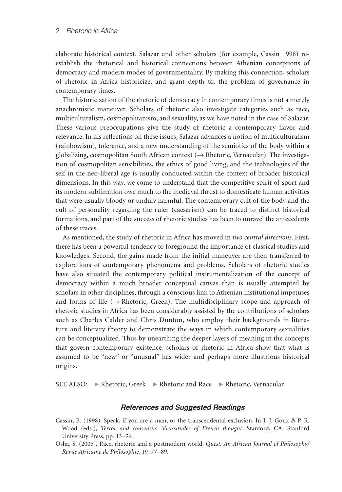elaborate historical context. Salazar and other scholars (for example, Cassin 1998) reestablish the rhetorical and historical connections between Athenian conceptions of democracy and modern modes of governmentality. By making this connection, scholars of rhetoric in Africa historicize, and grant depth to, the problem of governance in contemporary times.

The historicization of the rhetoric of democracy in contemporary times is not a merely anachronistic maneuver. Scholars of rhetoric also investigate categories such as race, multiculturalism, cosmopolitanism, and sexuality, as we have noted in the case of Salazar. These various preoccupations give the study of rhetoric a contemporary flavor and relevance. In his reflections on these issues, Salazar advances a notion of multiculturalism (rainbowism), tolerance, and a new understanding of the semiotics of the body within a globalizing, cosmopolitan South African context ( $\rightarrow$  Rhetoric, Vernacular). The investigation of cosmopolitan sensibilities, the ethics of good living, and the technologies of the self in the neo-liberal age is usually conducted within the context of broader historical dimensions. In this way, we come to understand that the competitive spirit of sport and its modern sublimation owe much to the medieval thrust to domesticate human activities that were usually bloody or unduly harmful. The contemporary cult of the body and the cult of personality regarding the ruler (caesarism) can be traced to distinct historical formations, and part of the success of rhetoric studies has been to unravel the antecedents of these traces.

As mentioned, the study of rhetoric in Africa has moved in *two central directions*. First, there has been a powerful tendency to foreground the importance of classical studies and knowledges. Second, the gains made from the initial maneuver are then transferred to explorations of contemporary phenomena and problems. Scholars of rhetoric studies have also situated the contemporary political instrumentalization of the concept of democracy within a much broader conceptual canvas than is usually attempted by scholars in other disciplines, through a conscious link to Athenian institutional impetuses and forms of life ( $\rightarrow$  Rhetoric, Greek). The multidisciplinary scope and approach of rhetoric studies in Africa has been considerably assisted by the contributions of scholars such as Charles Calder and Chris Dunton, who employ their backgrounds in literature and literary theory to demonstrate the ways in which contemporary sexualities can be conceptualized. Thus by unearthing the deeper layers of meaning in the concepts that govern contemporary existence, scholars of rhetoric in Africa show that what is assumed to be "new" or "unusual" has wider and perhaps more illustrious historical origins.

SEE ALSO: ▶ Rhetoric, Greek ▶ Rhetoric and Race ▶ Rhetoric, Vernacular

## *References and Suggested Readings*

- Cassin, B. (1998). Speak, if you are a man, or the transcendental exclusion. In J.-J. Goux & P. R. Wood (eds.), *Terror and consensus: Vicissitudes of French thought*. Stanford, CA: Stanford University Press, pp. 13–24.
- Osha, S. (2005). Race, rhetoric and a postmodern world. *Quest: An African Journal of Philosophy/ Revue Africaine de Philosophie*, 19, 77–89.